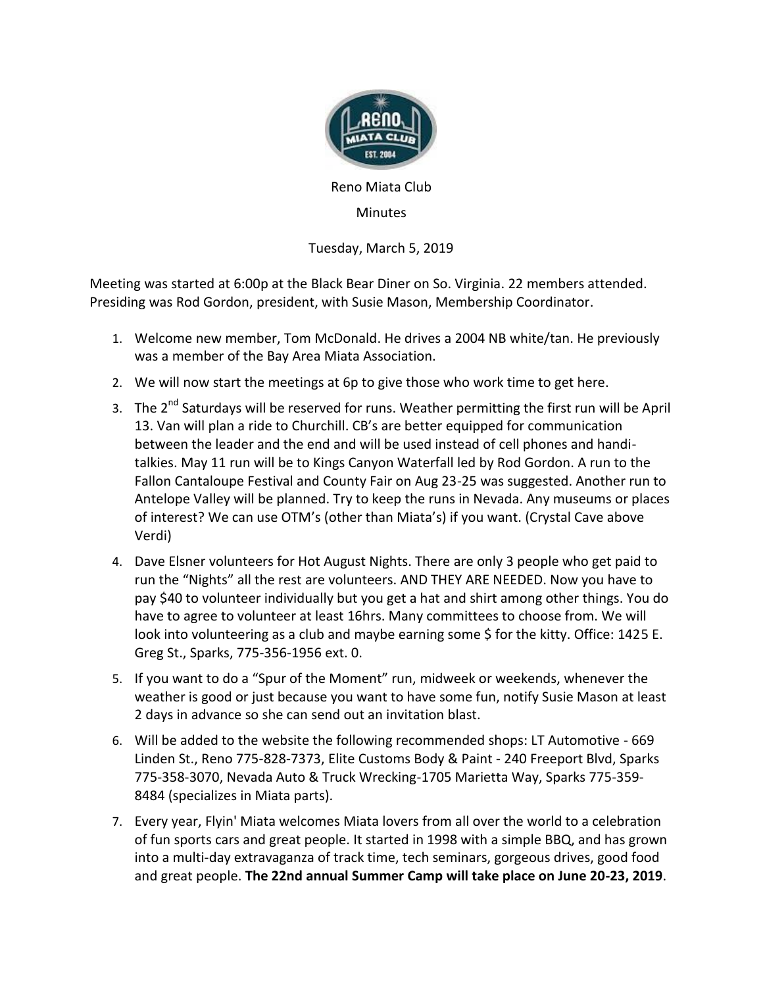

Reno Miata Club

**Minutes** 

Tuesday, March 5, 2019

Meeting was started at 6:00p at the Black Bear Diner on So. Virginia. 22 members attended. Presiding was Rod Gordon, president, with Susie Mason, Membership Coordinator.

- 1. Welcome new member, Tom McDonald. He drives a 2004 NB white/tan. He previously was a member of the Bay Area Miata Association.
- 2. We will now start the meetings at 6p to give those who work time to get here.
- 3. The 2<sup>nd</sup> Saturdays will be reserved for runs. Weather permitting the first run will be April 13. Van will plan a ride to Churchill. CB's are better equipped for communication between the leader and the end and will be used instead of cell phones and handitalkies. May 11 run will be to Kings Canyon Waterfall led by Rod Gordon. A run to the Fallon Cantaloupe Festival and County Fair on Aug 23-25 was suggested. Another run to Antelope Valley will be planned. Try to keep the runs in Nevada. Any museums or places of interest? We can use OTM's (other than Miata's) if you want. (Crystal Cave above Verdi)
- 4. Dave Elsner volunteers for Hot August Nights. There are only 3 people who get paid to run the "Nights" all the rest are volunteers. AND THEY ARE NEEDED. Now you have to pay \$40 to volunteer individually but you get a hat and shirt among other things. You do have to agree to volunteer at least 16hrs. Many committees to choose from. We will look into volunteering as a club and maybe earning some \$ for the kitty. Office: 1425 E. Greg St., Sparks, 775-356-1956 ext. 0.
- 5. If you want to do a "Spur of the Moment" run, midweek or weekends, whenever the weather is good or just because you want to have some fun, notify Susie Mason at least 2 days in advance so she can send out an invitation blast.
- 6. Will be added to the website the following recommended shops: LT Automotive 669 Linden St., Reno 775-828-7373, Elite Customs Body & Paint - 240 Freeport Blvd, Sparks 775-358-3070, Nevada Auto & Truck Wrecking-1705 Marietta Way, Sparks 775-359- 8484 (specializes in Miata parts).
- 7. Every year, Flyin' Miata welcomes Miata lovers from all over the world to a celebration of fun sports cars and great people. It started in 1998 with a simple BBQ, and has grown into a multi-day extravaganza of track time, tech seminars, gorgeous drives, good food and great people. **The 22nd annual Summer Camp will take place on June 20-23, 2019**.